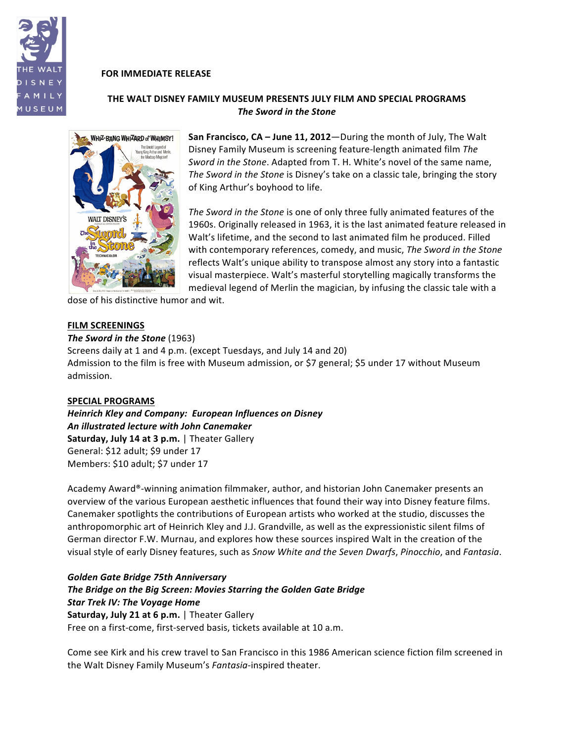

# **FOR IMMEDIATE RELEASE**

# **THE WALT DISNEY FAMILY MUSEUM PRESENTS JULY FILM AND SPECIAL PROGRAMS** *The!Sword!in!the!Stone!*



**San Francisco, CA – June 11, 2012—During the month of July, The Walt** Disney Family Museum is screening feature-length animated film The *Sword in the Stone*. Adapted from T. H. White's novel of the same name, The Sword in the Stone is Disney's take on a classic tale, bringing the story of King Arthur's boyhood to life.

*The Sword in the Stone* is one of only three fully animated features of the 1960s. Originally released in 1963, it is the last animated feature released in Walt's lifetime, and the second to last animated film he produced. Filled with contemporary references, comedy, and music, The Sword in the Stone reflects Walt's unique ability to transpose almost any story into a fantastic visual masterpiece. Walt's masterful storytelling magically transforms the medieval legend of Merlin the magician, by infusing the classic tale with a

dose of his distinctive humor and wit.

## **FILM SCREENINGS**

#### *The Sword in the Stone* (1963)

Screens daily at 1 and 4 p.m. (except Tuesdays, and July 14 and 20) Admission to the film is free with Museum admission, or \$7 general; \$5 under 17 without Museum admission.

## **SPECIAL PROGRAMS**

*Heinrich Kley and Company: European Influences on Disney An!illustrated!lecture!with!John!Canemaker* **Saturday, July 14 at 3 p.m.** | Theater Gallery General: \$12 adult; \$9 under 17 Members: \$10 adult; \$7 under 17

Academy Award®-winning animation filmmaker, author, and historian John Canemaker presents an overview of the various European aesthetic influences that found their way into Disney feature films. Canemaker spotlights the contributions of European artists who worked at the studio, discusses the anthropomorphic art of Heinrich Kley and J.J. Grandville, as well as the expressionistic silent films of German director F.W. Murnau, and explores how these sources inspired Walt in the creation of the visual style of early Disney features, such as *Snow White and the Seven Dwarfs*, Pinocchio, and Fantasia.

# *Golden!Gate!Bridge!75th!Anniversary*

**The Bridge on the Big Screen: Movies Starring the Golden Gate Bridge Star Trek IV: The Voyage Home Saturday, July 21 at 6 p.m.** | Theater Gallery Free on a first-come, first-served basis, tickets available at 10 a.m.

Come see Kirk and his crew travel to San Francisco in this 1986 American science fiction film screened in the Walt Disney Family Museum's Fantasia-inspired theater.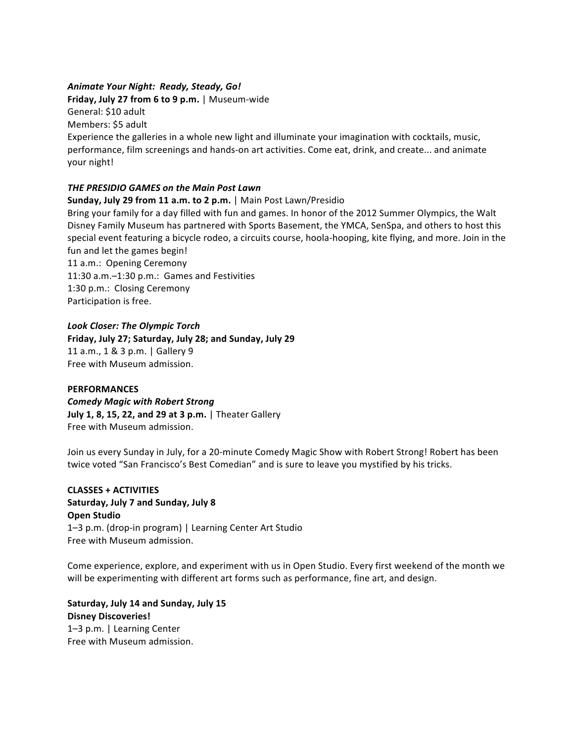# Animate Your Night: Ready, Steady, Go!

**Friday, July 27 from 6 to 9 p.m.** | Museum-wide

General: \$10 adult

Members: \$5 adult

Experience the galleries in a whole new light and illuminate your imagination with cocktails, music, performance, film screenings and hands-on art activities. Come eat, drink, and create... and animate your night!

# *THE PRESIDIO GAMES on the Main Post Lawn*

# **Sunday, July 29 from 11 a.m. to 2 p.m.** | Main Post Lawn/Presidio

Bring your family for a day filled with fun and games. In honor of the 2012 Summer Olympics, the Walt Disney Family Museum has partnered with Sports Basement, the YMCA, SenSpa, and others to host this special event featuring a bicycle rodeo, a circuits course, hoola-hooping, kite flying, and more. Join in the fun and let the games begin!

11 a.m.: Opening Ceremony 11:30 a.m.-1:30 p.m.: Games and Festivities 1:30 p.m.: Closing Ceremony Participation is free.

# Look Closer: The Olympic Torch

Friday, July 27; Saturday, July 28; and Sunday, July 29 11 a.m., 1 & 3 p.m. | Gallery 9 Free with Museum admission.

## **PERFORMANCES**

*Comedy!Magic!with!Robert!Strong* **July 1, 8, 15, 22, and 29 at 3 p.m.** | Theater Gallery Free with Museum admission.

Join us every Sunday in July, for a 20-minute Comedy Magic Show with Robert Strong! Robert has been twice voted "San Francisco's Best Comedian" and is sure to leave you mystified by his tricks.

**CLASSES + ACTIVITIES Saturday, July 7 and Sunday, July 8 Open Studio** 1–3 p.m. (drop-in program) | Learning Center Art Studio Free with Museum admission.

Come experience, explore, and experiment with us in Open Studio. Every first weekend of the month we will be experimenting with different art forms such as performance, fine art, and design.

Saturday, July 14 and Sunday, July 15 **Disney\$Discoveries!** 1-3 p.m. | Learning Center Free with Museum admission.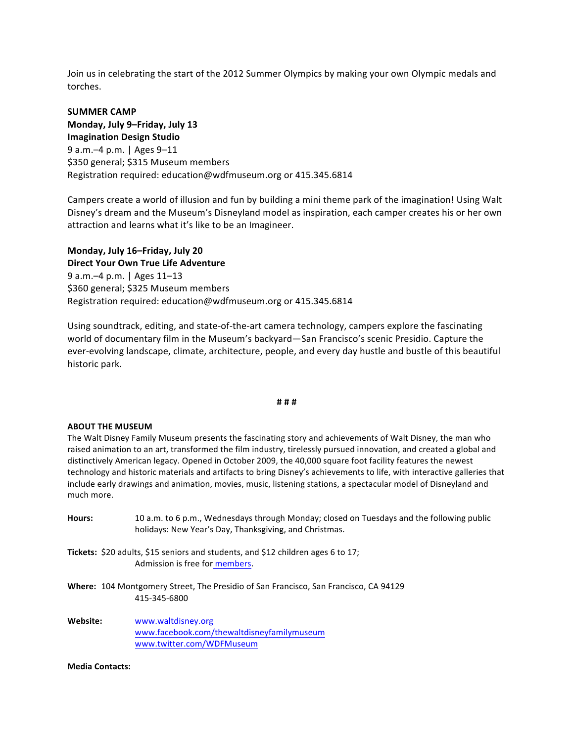Join us in celebrating the start of the 2012 Summer Olympics by making your own Olympic medals and torches.

**SUMMER CAMP Monday, July 9–Friday, July 13 Imagination Design Studio** 9 a.m. - 4 p.m. | Ages 9–11 \$350 general; \$315 Museum members Registration required: education@wdfmuseum.org or 415.345.6814

Campers create a world of illusion and fun by building a mini theme park of the imagination! Using Walt Disney's dream and the Museum's Disneyland model as inspiration, each camper creates his or her own attraction and learns what it's like to be an Imagineer.

**Monday, July 16–Friday, July 20 Direct Your Own True Life Adventure** 9 a.m. - 4 p.m. | Ages 11–13 \$360 general; \$325 Museum members Registration required: education@wdfmuseum.org or 415.345.6814

Using soundtrack, editing, and state-of-the-art camera technology, campers explore the fascinating world of documentary film in the Museum's backyard—San Francisco's scenic Presidio. Capture the ever-evolving landscape, climate, architecture, people, and every day hustle and bustle of this beautiful historic park.

#### **#\$#\$#**

#### **ABOUT THE MUSEUM**

The Walt Disney Family Museum presents the fascinating story and achievements of Walt Disney, the man who raised animation to an art, transformed the film industry, tirelessly pursued innovation, and created a global and distinctively American legacy. Opened in October 2009, the 40,000 square foot facility features the newest technology and historic materials and artifacts to bring Disney's achievements to life, with interactive galleries that include early drawings and animation, movies, music, listening stations, a spectacular model of Disneyland and much more.

- Hours: 10 a.m. to 6 p.m., Wednesdays through Monday; closed on Tuesdays and the following public holidays: New Year's Day, Thanksgiving, and Christmas.
- **Tickets:** \$20 adults, \$15 seniors and students, and \$12 children ages 6 to 17; Admission is free for members.
- Where: 104 Montgomery Street, The Presidio of San Francisco, San Francisco, CA 94129 415:345:6800
- **Website:** www.waltdisney.org www.facebook.com/thewaltdisneyfamilymuseum www.twitter.com/WDFMuseum

#### **Media Contacts:**